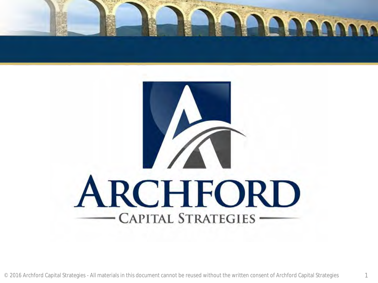

# ARCHFORD **CAPITAL STRATEGIES -**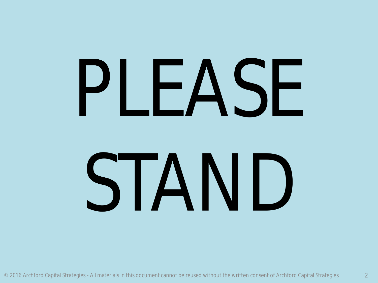# PLEASE

## STAND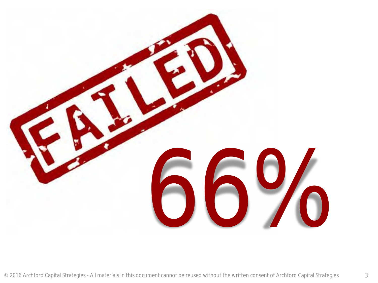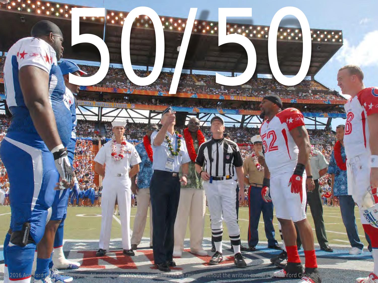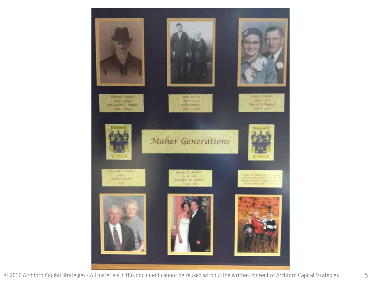

© 2016 Archford Capital Strategies - All materials in this document cannot be reused without the written consent of Archford Capital Strategies 5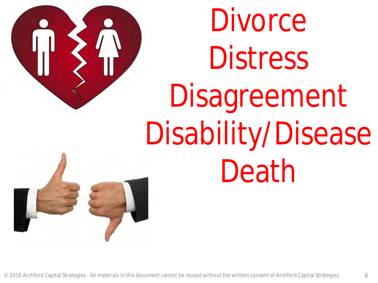

Divorce Distress Disagreement Disability/Disease Death

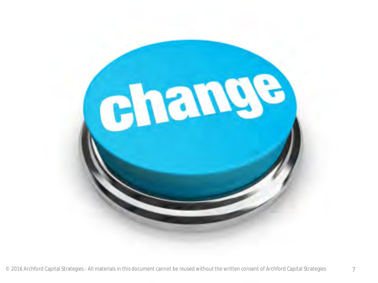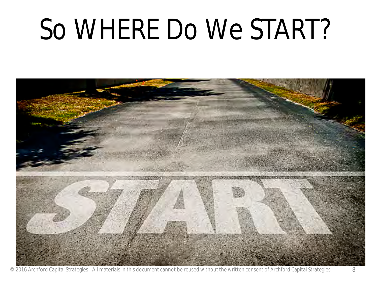### So WHERE Do We START?



© 2016 Archford Capital Strategies - All materials in this document cannot be reused without the written consent of Archford Capital Strategies 8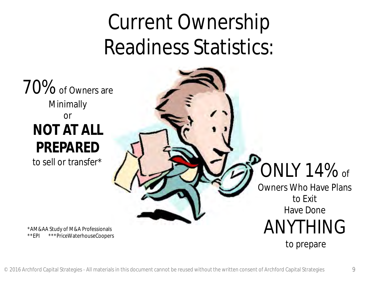### Current Ownership Readiness Statistics:

70% of Owners are Minimally or **NOT AT ALL PREPARED**<br>to sell or transfer\*

\*AM&AA Study of M&A Professionals \*\*EPI \*\*\*PriceWaterhouseCoopers

#### $\overline{O}$ NLY 14% of

Owners Who Have Plans to Exit Have Done ANYTHING to prepare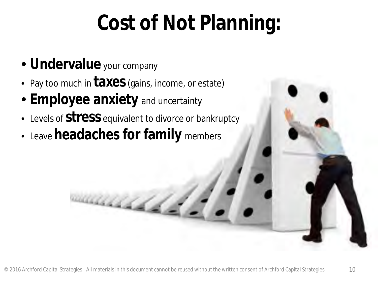### **Cost of Not Planning:**

- **Undervalue** your company
- Pay too much in **taxes** (gains, income, or estate)
- **Employee anxiety** and uncertainty
- Levels of **stress** equivalent to divorce or bankruptcy
- Leave **headaches for family** members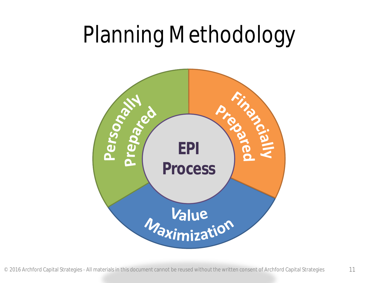### Planning Methodology

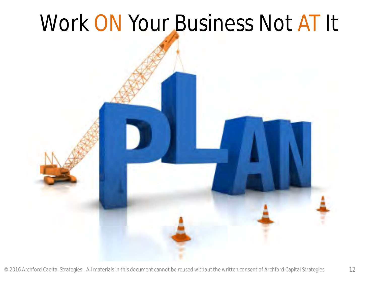### Work ON Your Business Not AT It

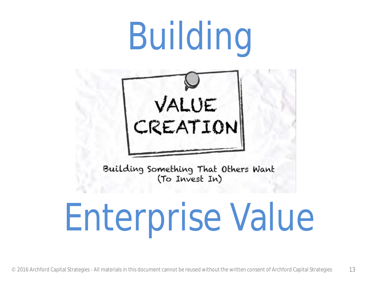### Building



### Enterprise Value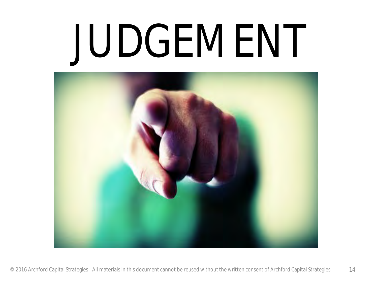### JUDGEMENT

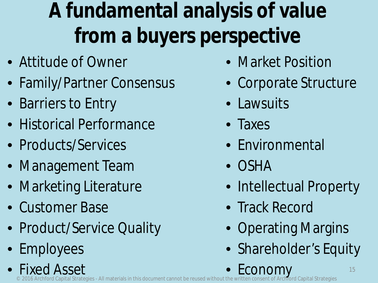### **A fundamental analysis of value from a buyers perspective**

- Attitude of Owner
- Family/Partner Consensus
- Barriers to Entry
- Historical Performance
- Products/Services
- Management Team
- Marketing Literature
- Customer Base
- Product/Service Quality
- Employees
- Market Position
- Corporate Structure
- Lawsuits
- Taxes
- Environmental
- OSHA
- Intellectual Property
- Track Record
- Operating Margins
- Shareholder's Equity

 $\degree$  2016 Archford Capital Strategies - All materials in this document cannot be reused without the w • Fixed Asset **Economy**<br>written consent of Archiord Capital Strategies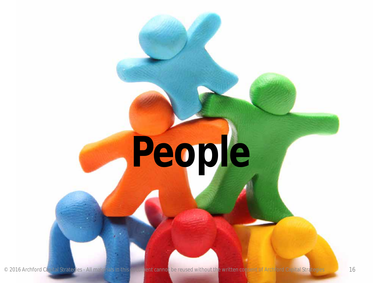### **People**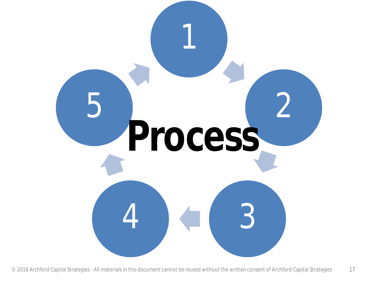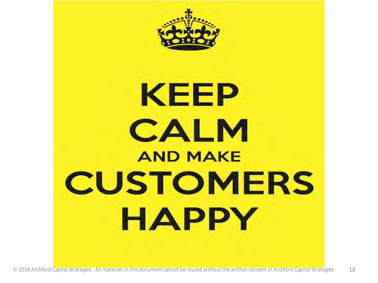

### **KEEP** CALM **AND MAKE CUSTOMERS** HAPPY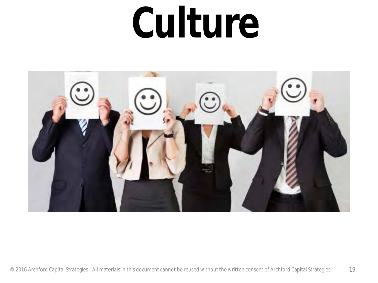### **Culture**

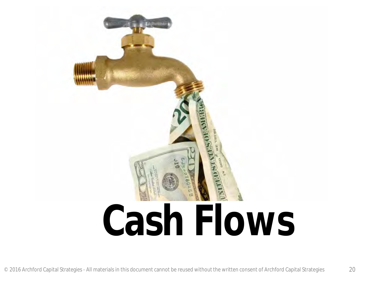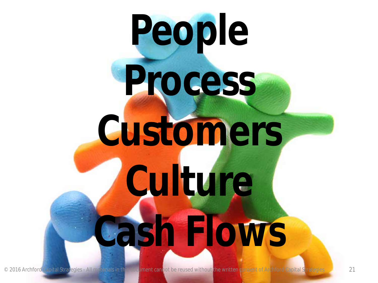### **People Process Customers Culture Cash Flows**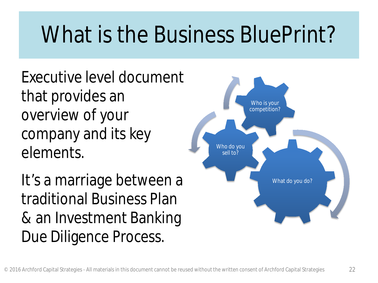### What is the Business BluePrint?

Executive level document that provides an overview of your company and its key elements.

It's a marriage between a traditional Business Plan & an Investment Banking Due Diligence Process.

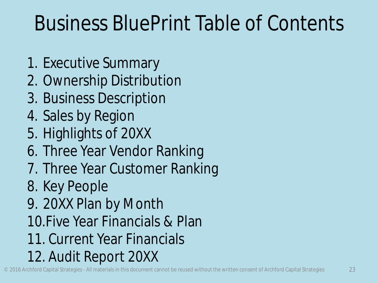### Business BluePrint Table of Contents

- 1. Executive Summary
- 2. Ownership Distribution
- 3. Business Description
- 4. Sales by Region
- 5. Highlights of 20XX
- 6. Three Year Vendor Ranking
- 7. Three Year Customer Ranking
- 8. Key People
- 9. 20XX Plan by Month
- 10.Five Year Financials & Plan
- 11. Current Year Financials
- 12. Audit Report 20XX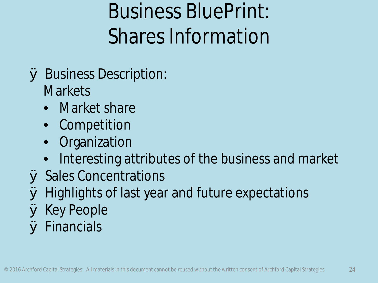### Business BluePrint: Shares Information

- Ø Business Description: **Markets** 
	- Market share
	- Competition
	- **Organization**
	- Interesting attributes of the business and market
- Ø Sales Concentrations
- Ø Highlights of last year and future expectations
- Ø Key People
- Ø Financials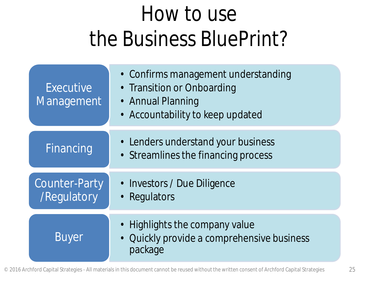### How to use the Business BluePrint?

| Executive<br>Management                    | • Confirms management understanding<br>• Transition or Onboarding<br>• Annual Planning<br>• Accountability to keep updated |
|--------------------------------------------|----------------------------------------------------------------------------------------------------------------------------|
| <b>Financing</b>                           | • Lenders understand your business<br>• Streamlines the financing process                                                  |
| <b>Counter-Party</b><br><b>/Regulatory</b> | • Investors / Due Diligence<br>• Regulators                                                                                |
| <b>Buyer</b>                               | • Highlights the company value<br>Quickly provide a comprehensive business<br>package                                      |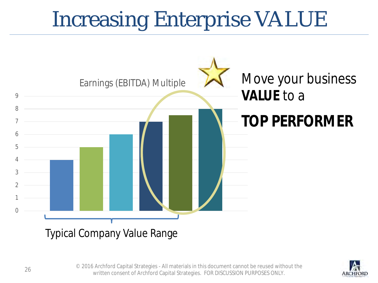### Increasing Enterprise VALUE





© 2016 Archford Capital Strategies - All materials in this document cannot be reused without the 26 2010 Archibid Capital Strategies - Airmaterials in this document cannot be redsed with<br>26 written consent of Archford Capital Strategies. FOR DISCUSSION PURPOSES ONLY.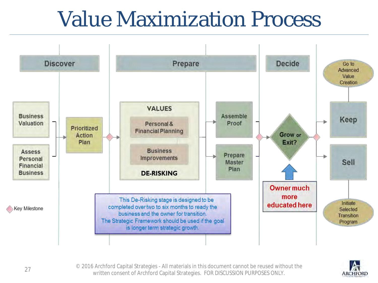#### Value Maximization Process





© 2016 Archford Capital Strategies - All materials in this document cannot be reused without the zo to Archibita Capital Strategies - Airmaterials in this document cannot be redsed with<br>. 27 written consent of Archford Capital Strategies. FOR DISCUSSION PURPOSES ONLY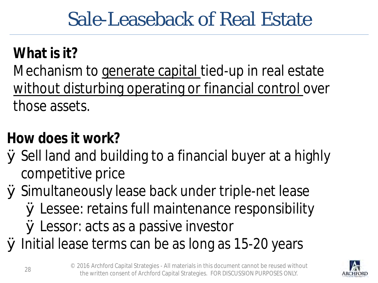#### Sale-Leaseback of Real Estate

#### **What is it?**

Mechanism to generate capital tied-up in real estate without disturbing operating or financial control over those assets.

#### **How does it work?**

Ø Sell land and building to a financial buyer at a highly competitive price

Ø Simultaneously lease back under triple-net lease Ø Lessee: retains full maintenance responsibility Ø Lessor: acts as a passive investor

Ø Initial lease terms can be as long as 15-20 years